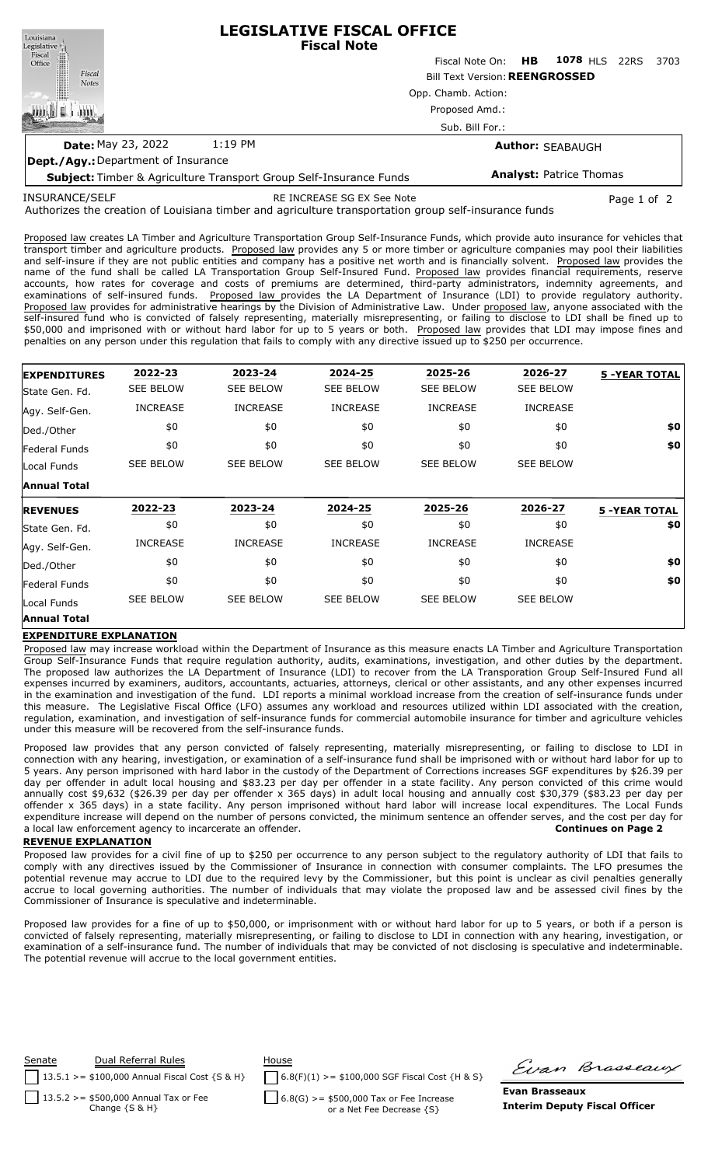| Louisiana<br>Legislative <sup>1</sup> | <b>LEGISLATIVE FISCAL OFFICE</b><br><b>Fiscal Note</b>                    |                                       |    |                                |  |      |  |  |  |  |  |
|---------------------------------------|---------------------------------------------------------------------------|---------------------------------------|----|--------------------------------|--|------|--|--|--|--|--|
| Fiscal<br>Office                      |                                                                           | Fiscal Note On:                       | HB | 1078 HLS 22RS                  |  | 3703 |  |  |  |  |  |
| Fiscal<br><b>Notes</b>                |                                                                           | <b>Bill Text Version: REENGROSSED</b> |    |                                |  |      |  |  |  |  |  |
|                                       |                                                                           | Opp. Chamb. Action:<br>Proposed Amd.: |    |                                |  |      |  |  |  |  |  |
|                                       |                                                                           |                                       |    |                                |  |      |  |  |  |  |  |
|                                       |                                                                           | Sub. Bill For.:                       |    |                                |  |      |  |  |  |  |  |
| <b>Date: May 23, 2022</b>             | 1:19 PM                                                                   |                                       |    | <b>Author: SEABAUGH</b>        |  |      |  |  |  |  |  |
| Dept./Agy.: Department of Insurance   |                                                                           |                                       |    |                                |  |      |  |  |  |  |  |
|                                       | <b>Subject:</b> Timber & Agriculture Transport Group Self-Insurance Funds |                                       |    | <b>Analyst: Patrice Thomas</b> |  |      |  |  |  |  |  |

INSURANCE/SELF

RE INCREASE SG EX See Note Page 1 of 2

Authorizes the creation of Louisiana timber and agriculture transportation group self-insurance funds

Proposed law creates LA Timber and Agriculture Transportation Group Self-Insurance Funds, which provide auto insurance for vehicles that transport timber and agriculture products. Proposed law provides any 5 or more timber or agriculture companies may pool their liabilities and self-insure if they are not public entities and company has a positive net worth and is financially solvent. Proposed law provides the name of the fund shall be called LA Transportation Group Self-Insured Fund. Proposed law provides financial requirements, reserve accounts, how rates for coverage and costs of premiums are determined, third-party administrators, indemnity agreements, and examinations of self-insured funds. Proposed law provides the LA Department of Insurance (LDI) to provide regulatory authority. Proposed law provides for administrative hearings by the Division of Administrative Law. Under proposed law, anyone associated with the self-insured fund who is convicted of falsely representing, materially misrepresenting, or failing to disclose to LDI shall be fined up to \$50,000 and imprisoned with or without hard labor for up to 5 years or both. Proposed law provides that LDI may impose fines and penalties on any person under this regulation that fails to comply with any directive issued up to \$250 per occurrence.

| <b>EXPENDITURES</b> | 2022-23          | 2023-24          | 2024-25          | 2025-26          | 2026-27          | <b>5 -YEAR TOTAL</b> |
|---------------------|------------------|------------------|------------------|------------------|------------------|----------------------|
| State Gen. Fd.      | <b>SEE BELOW</b> | <b>SEE BELOW</b> | <b>SEE BELOW</b> | <b>SEE BELOW</b> | <b>SEE BELOW</b> |                      |
| Agy. Self-Gen.      | <b>INCREASE</b>  | <b>INCREASE</b>  | <b>INCREASE</b>  | <b>INCREASE</b>  | <b>INCREASE</b>  |                      |
| Ded./Other          | \$0              | \$0              | \$0              | \$0              | \$0              | \$0                  |
| Federal Funds       | \$0              | \$0              | \$0              | \$0              | \$0              | \$0                  |
| Local Funds         | <b>SEE BELOW</b> | <b>SEE BELOW</b> | <b>SEE BELOW</b> | <b>SEE BELOW</b> | <b>SEE BELOW</b> |                      |
| <b>Annual Total</b> |                  |                  |                  |                  |                  |                      |
|                     |                  |                  |                  |                  |                  |                      |
| <b>REVENUES</b>     | 2022-23          | 2023-24          | 2024-25          | 2025-26          | 2026-27          | <b>5 -YEAR TOTAL</b> |
| State Gen. Fd.      | \$0              | \$0              | \$0              | \$0              | \$0              | \$0                  |
| Agy. Self-Gen.      | <b>INCREASE</b>  | <b>INCREASE</b>  | <b>INCREASE</b>  | <b>INCREASE</b>  | <b>INCREASE</b>  |                      |
| Ded./Other          | \$0              | \$0              | \$0              | \$0              | \$0              | \$0                  |
| Federal Funds       | \$0              | \$0              | \$0              | \$0              | \$0              | \$0                  |
| Local Funds         | <b>SEE BELOW</b> | <b>SEE BELOW</b> | <b>SEE BELOW</b> | <b>SEE BELOW</b> | <b>SEE BELOW</b> |                      |

## **EXPENDITURE EXPLANATION**

Proposed law may increase workload within the Department of Insurance as this measure enacts LA Timber and Agriculture Transportation Group Self-Insurance Funds that require regulation authority, audits, examinations, investigation, and other duties by the department. The proposed law authorizes the LA Department of Insurance (LDI) to recover from the LA Transporation Group Self-Insured Fund all expenses incurred by examiners, auditors, accountants, actuaries, attorneys, clerical or other assistants, and any other expenses incurred in the examination and investigation of the fund. LDI reports a minimal workload increase from the creation of self-insurance funds under this measure. The Legislative Fiscal Office (LFO) assumes any workload and resources utilized within LDI associated with the creation, regulation, examination, and investigation of self-insurance funds for commercial automobile insurance for timber and agriculture vehicles under this measure will be recovered from the self-insurance funds.

Proposed law provides that any person convicted of falsely representing, materially misrepresenting, or failing to disclose to LDI in connection with any hearing, investigation, or examination of a self-insurance fund shall be imprisoned with or without hard labor for up to 5 years. Any person imprisoned with hard labor in the custody of the Department of Corrections increases SGF expenditures by \$26.39 per day per offender in adult local housing and \$83.23 per day per offender in a state facility. Any person convicted of this crime would annually cost \$9,632 (\$26.39 per day per offender x 365 days) in adult local housing and annually cost \$30,379 (\$83.23 per day per offender x 365 days) in a state facility. Any person imprisoned without hard labor will increase local expenditures. The Local Funds expenditure increase will depend on the number of persons convicted, the minimum sentence an offender serves, and the cost per day for a local law enforcement agency to incarcerate an offender. **Continues on Page 2**

## **REVENUE EXPLANATION**

Proposed law provides for a civil fine of up to \$250 per occurrence to any person subject to the regulatory authority of LDI that fails to comply with any directives issued by the Commissioner of Insurance in connection with consumer complaints. The LFO presumes the potential revenue may accrue to LDI due to the required levy by the Commissioner, but this point is unclear as civil penalties generally accrue to local governing authorities. The number of individuals that may violate the proposed law and be assessed civil fines by the Commissioner of Insurance is speculative and indeterminable.

Proposed law provides for a fine of up to \$50,000, or imprisonment with or without hard labor for up to 5 years, or both if a person is convicted of falsely representing, materially misrepresenting, or failing to disclose to LDI in connection with any hearing, investigation, or examination of a self-insurance fund. The number of individuals that may be convicted of not disclosing is speculative and indeterminable. The potential revenue will accrue to the local government entities.